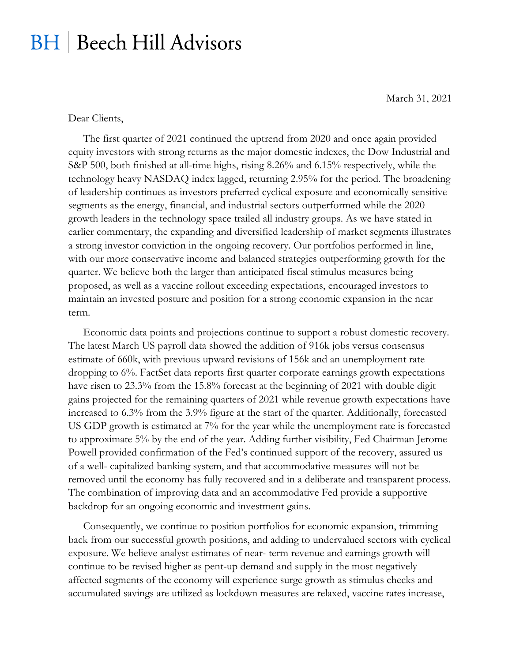## **BH** | Beech Hill Advisors

March 31, 2021

Dear Clients,

The first quarter of 2021 continued the uptrend from 2020 and once again provided equity investors with strong returns as the major domestic indexes, the Dow Industrial and S&P 500, both finished at all-time highs, rising 8.26% and 6.15% respectively, while the technology heavy NASDAQ index lagged, returning 2.95% for the period. The broadening of leadership continues as investors preferred cyclical exposure and economically sensitive segments as the energy, financial, and industrial sectors outperformed while the 2020 growth leaders in the technology space trailed all industry groups. As we have stated in earlier commentary, the expanding and diversified leadership of market segments illustrates a strong investor conviction in the ongoing recovery. Our portfolios performed in line, with our more conservative income and balanced strategies outperforming growth for the quarter. We believe both the larger than anticipated fiscal stimulus measures being proposed, as well as a vaccine rollout exceeding expectations, encouraged investors to maintain an invested posture and position for a strong economic expansion in the near term.

Economic data points and projections continue to support a robust domestic recovery. The latest March US payroll data showed the addition of 916k jobs versus consensus estimate of 660k, with previous upward revisions of 156k and an unemployment rate dropping to 6%. FactSet data reports first quarter corporate earnings growth expectations have risen to 23.3% from the 15.8% forecast at the beginning of 2021 with double digit gains projected for the remaining quarters of 2021 while revenue growth expectations have increased to 6.3% from the 3.9% figure at the start of the quarter. Additionally, forecasted US GDP growth is estimated at 7% for the year while the unemployment rate is forecasted to approximate 5% by the end of the year. Adding further visibility, Fed Chairman Jerome Powell provided confirmation of the Fed's continued support of the recovery, assured us of a well- capitalized banking system, and that accommodative measures will not be removed until the economy has fully recovered and in a deliberate and transparent process. The combination of improving data and an accommodative Fed provide a supportive backdrop for an ongoing economic and investment gains.

Consequently, we continue to position portfolios for economic expansion, trimming back from our successful growth positions, and adding to undervalued sectors with cyclical exposure. We believe analyst estimates of near- term revenue and earnings growth will continue to be revised higher as pent-up demand and supply in the most negatively affected segments of the economy will experience surge growth as stimulus checks and accumulated savings are utilized as lockdown measures are relaxed, vaccine rates increase,